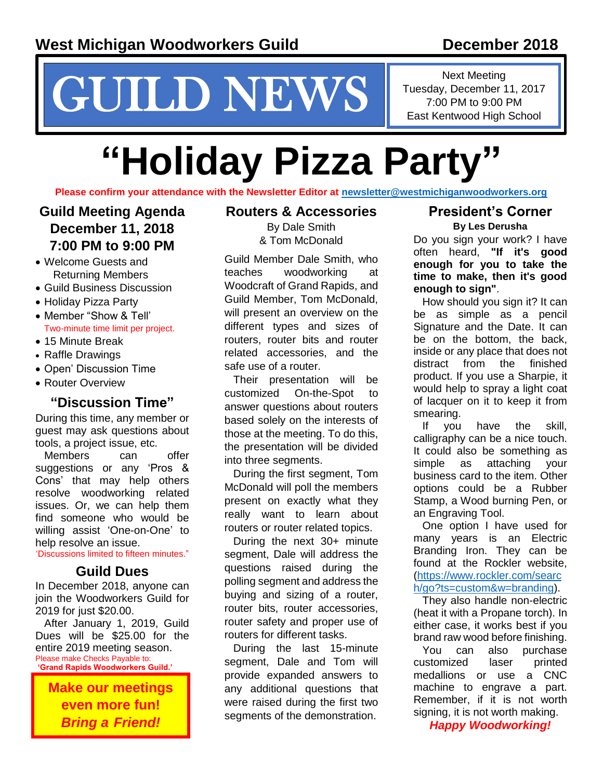# NEWS Fuesday, December 11, 2017<br>
T.00 PM to 9:00 PM<br>
East Kentwood High School

Next Meeting Tuesday, December 11, 2017

# **"Holiday Pizza Party"**

**Please confirm your attendance with the Newsletter Editor at [newsletter@westmichiganwoodworkers.org](file:///C:/Users/McDonald/Documents/TRM%20General%20Documents/WW%20Guild%20Docs/WW%20Guild%20Docs/Newsletter%20Articles%20by%20TRM/December%202018/newsletter@westmichiganwoodworkers.org)**

## **Guild Meeting Agenda December 11, 2018 7:00 PM to 9:00 PM**

- Welcome Guests and Returning Members
- Guild Business Discussion
- Holiday Pizza Party
- Member "Show & Tell' Two-minute time limit per project.
- 15 Minute Break
- Raffle Drawings
- Open' Discussion Time
- Router Overview

### **"Discussion Time"**

During this time, any member or guest may ask questions about tools, a project issue, etc.

Members can offer suggestions or any 'Pros & Cons' that may help others resolve woodworking related issues. Or, we can help them find someone who would be willing assist 'One-on-One' to help resolve an issue.

'Discussions limited to fifteen minutes."

### **Guild Dues**

In December 2018, anyone can join the Woodworkers Guild for 2019 for just \$20.00.

After January 1, 2019, Guild Dues will be \$25.00 for the entire 2019 meeting season. Please make Checks Payable to: **'Grand Rapids Woodworkers Guild.'**

**Make our meetings even more fun!**  *Bring a Friend!*

### **Routers & Accessories**

By Dale Smith & Tom McDonald

Guild Member Dale Smith, who teaches woodworking at Woodcraft of Grand Rapids, and Guild Member, Tom McDonald, will present an overview on the different types and sizes of routers, router bits and router related accessories, and the safe use of a router.

Their presentation will be customized On-the-Spot to answer questions about routers based solely on the interests of those at the meeting. To do this, the presentation will be divided into three segments.

During the first segment, Tom McDonald will poll the members present on exactly what they really want to learn about routers or router related topics.

During the next 30+ minute segment, Dale will address the questions raised during the polling segment and address the buying and sizing of a router, router bits, router accessories, router safety and proper use of routers for different tasks.

During the last 15-minute segment, Dale and Tom will provide expanded answers to any additional questions that were raised during the first two segments of the demonstration.

### **President's Corner**

**By Les Derusha**

Do you sign your work? I have often heard, **"If it's good enough for you to take the time to make, then it's good enough to sign"**.

How should you sign it? It can be as simple as a pencil Signature and the Date. It can be on the bottom, the back, inside or any place that does not distract from the finished product. If you use a Sharpie, it would help to spray a light coat of lacquer on it to keep it from smearing.

If you have the skill, calligraphy can be a nice touch. It could also be something as simple as attaching your business card to the item. Other options could be a Rubber Stamp, a Wood burning Pen, or an Engraving Tool.

One option I have used for many years is an Electric Branding Iron. They can be found at the Rockler website. [\(https://www.rockler.com/searc](https://www.rockler.com/search/go?ts=custom&w=branding) [h/go?ts=custom&w=branding\)](https://www.rockler.com/search/go?ts=custom&w=branding).

They also handle non-electric (heat it with a Propane torch). In either case, it works best if you brand raw wood before finishing.

You can also purchase customized laser printed medallions or use a CNC machine to engrave a part. Remember, if it is not worth signing, it is not worth making.

*Happy Woodworking!*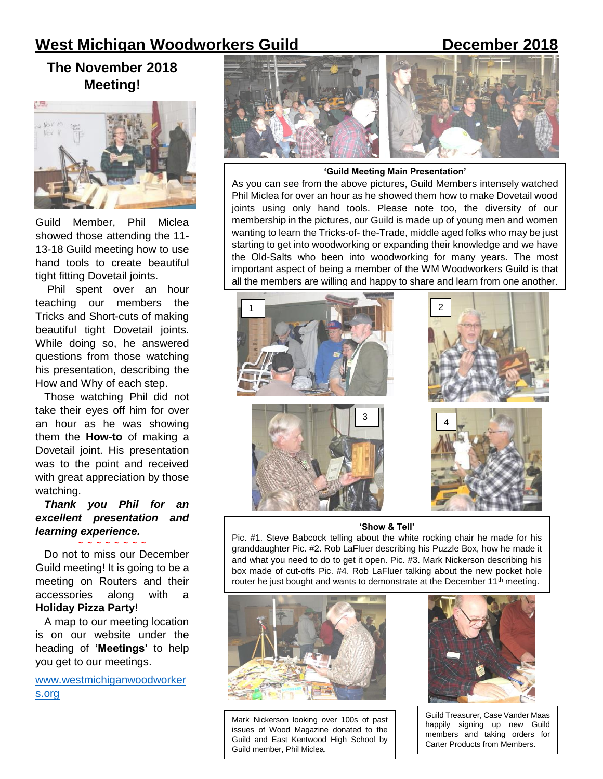# **West Michigan Woodworkers Guild\_\_\_\_\_ \_\_\_\_\_\_December 2018**

# **The November 2018 Meeting!**



Guild Member, Phil Miclea showed those attending the 11- 13-18 Guild meeting how to use hand tools to create beautiful tight fitting Dovetail joints.

Phil spent over an hour teaching our members the Tricks and Short-cuts of making beautiful tight Dovetail joints. While doing so, he answered questions from those watching his presentation, describing the How and Why of each step.

Those watching Phil did not take their eyes off him for over an hour as he was showing them the **How-to** of making a Dovetail joint. His presentation was to the point and received with great appreciation by those watching.

*Thank you Phil for an excellent presentation and learning experience.*

**~ ~ ~ ~ ~ ~ ~ ~** Do not to miss our December Guild meeting! It is going to be a meeting on Routers and their accessories along with **Holiday Pizza Party!**

A map to our meeting location is on our website under the heading of **'Meetings'** to help you get to our meetings.

[www.westmichiganwoodworker](www.westmichiganwoodworkers.org) [s.org](www.westmichiganwoodworkers.org)



### **'Guild Meeting Main Presentation'**

As you can see from the above pictures, Guild Members intensely watched Phil Miclea for over an hour as he showed them how to make Dovetail wood joints using only hand tools. Please note too, the diversity of our membership in the pictures, our Guild is made up of young men and women wanting to learn the Tricks-of- the-Trade, middle aged folks who may be just starting to get into woodworking or expanding their knowledge and we have the Old-Salts who been into woodworking for many years. The most important aspect of being a member of the WM Woodworkers Guild is that all the members are willing and happy to share and learn from one another.



### **'Show & Tell'**

Pic. #1. Steve Babcock telling about the white rocking chair he made for his granddaughter Pic. #2. Rob LaFluer describing his Puzzle Box, how he made it and what you need to do to get it open. Pic. #3. Mark Nickerson describing his box made of cut-offs Pic. #4. Rob LaFluer talking about the new pocket hole router he just bought and wants to demonstrate at the December 11<sup>th</sup> meeting.

I



Mark Nickerson looking over 100s of past issues of Wood Magazine donated to the Guild and East Kentwood High School by Guild member, Phil Miclea.



Guild Treasurer, Case Vander Maas happily signing up new Guild members and taking orders for Carter Products from Members.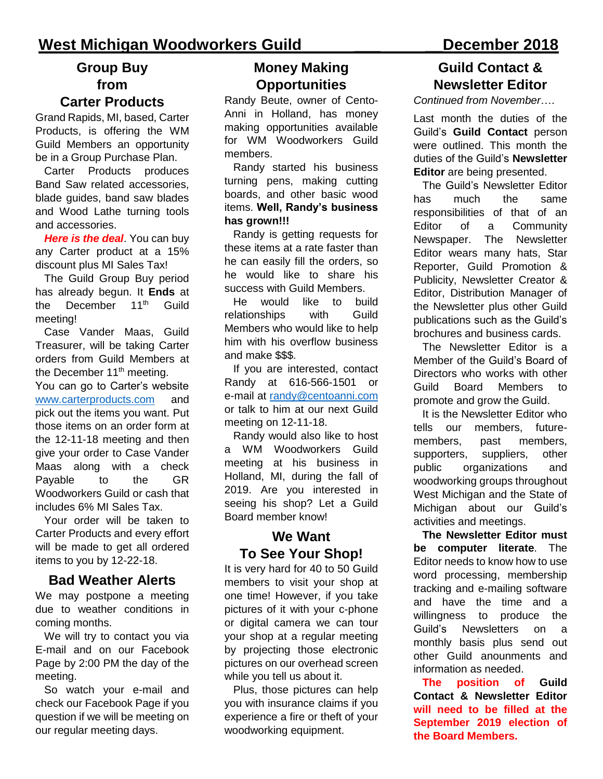# **West Michigan Woodworkers Guild \_\_\_ \_\_December 2018**

# **Group Buy from**

### **Carter Products**

Grand Rapids, MI, based, Carter Products, is offering the WM Guild Members an opportunity be in a Group Purchase Plan.

Carter Products produces Band Saw related accessories, blade guides, band saw blades and Wood Lathe turning tools and accessories.

*Here is the deal*. You can buy any Carter product at a 15% discount plus MI Sales Tax!

The Guild Group Buy period has already begun. It **Ends** at the December 11<sup>th</sup> Guild meeting!

Case Vander Maas, Guild Treasurer, will be taking Carter orders from Guild Members at the December  $11<sup>th</sup>$  meeting. You can go to Carter's website [www.carterproducts.com](http://www.carterproducts.com/) and pick out the items you want. Put those items on an order form at the 12-11-18 meeting and then give your order to Case Vander Maas along with a check Payable to the GR Woodworkers Guild or cash that includes 6% MI Sales Tax.

Your order will be taken to Carter Products and every effort will be made to get all ordered items to you by 12-22-18.

### **Bad Weather Alerts**

We may postpone a meeting due to weather conditions in coming months.

We will try to contact you via E-mail and on our Facebook Page by 2:00 PM the day of the meeting.

So watch your e-mail and check our Facebook Page if you question if we will be meeting on our regular meeting days.

### **Money Making Opportunities**

Randy Beute, owner of Cento-Anni in Holland, has money making opportunities available for WM Woodworkers Guild members.

Randy started his business turning pens, making cutting boards, and other basic wood items. **Well, Randy's business has grown!!!**

Randy is getting requests for these items at a rate faster than he can easily fill the orders, so he would like to share his success with Guild Members.

He would like to build relationships with Guild Members who would like to help him with his overflow business and make \$\$\$.

If you are interested, contact Randy at 616-566-1501 or e-mail at [randy@centoanni.com](file:///C:/Users/McDonald/Documents/TRM%20General%20Documents/WW%20Guild%20Docs/WW%20Guild%20Docs/Newsletter%20Articles%20by%20TRM/December%202018/randy@centoanni.com) or talk to him at our next Guild meeting on 12-11-18.

Randy would also like to host a WM Woodworkers Guild meeting at his business in Holland, MI, during the fall of 2019. Are you interested in seeing his shop? Let a Guild Board member know!

# **We Want To See Your Shop!**

It is very hard for 40 to 50 Guild members to visit your shop at one time! However, if you take pictures of it with your c-phone or digital camera we can tour your shop at a regular meeting by projecting those electronic pictures on our overhead screen while you tell us about it.

Plus, those pictures can help you with insurance claims if you experience a fire or theft of your woodworking equipment.

# **Guild Contact & Newsletter Editor**

*Continued from November*….

Last month the duties of the Guild's **Guild Contact** person were outlined. This month the duties of the Guild's **Newsletter Editor** are being presented.

The Guild's Newsletter Editor has much the same responsibilities of that of an Editor of a Community Newspaper. The Newsletter Editor wears many hats, Star Reporter, Guild Promotion & Publicity, Newsletter Creator & Editor, Distribution Manager of the Newsletter plus other Guild publications such as the Guild's brochures and business cards.

The Newsletter Editor is a Member of the Guild's Board of Directors who works with other Guild Board Members to promote and grow the Guild.

It is the Newsletter Editor who tells our members, futuremembers, past members, supporters, suppliers, other public organizations and woodworking groups throughout West Michigan and the State of Michigan about our Guild's activities and meetings.

**The Newsletter Editor must be computer literate**. The Editor needs to know how to use word processing, membership tracking and e-mailing software and have the time and a willingness to produce the Guild's Newsletters on a monthly basis plus send out other Guild anounments and information as needed.

**The position of Guild Contact & Newsletter Editor will need to be filled at the September 2019 election of the Board Members.**